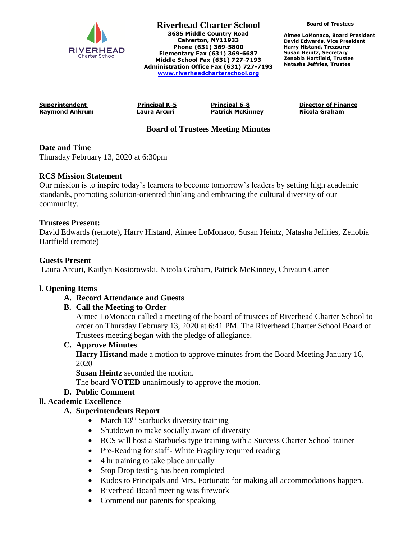

**Riverhead Charter School 3685 Middle Country Road Calverton, NY11933 Phone (631) 369-5800 Elementary Fax (631) 369-6687 Middle School Fax (631) 727-7193 Administration Office Fax (631) 727-7193 [www.riverheadcharterschool.org](http://www.riverheadcharterschool.org/)**

**Board of Trustees**

**Aimee LoMonaco, Board President David Edwards, Vice President Harry Histand, Treasurer Susan Heintz, Secretary Zenobia Hartfield, Trustee Natasha Jeffries, Trustee**

**Raymond Ankrum Laura Arcuri Patrick McKinney Nicola Graham**

**Superintendent Principal K-5 Principal 6-8 Director of Finance**

# **Board of Trustees Meeting Minutes**

### **Date and Time**

Thursday February 13, 2020 at 6:30pm

### **RCS Mission Statement**

Our mission is to inspire today's learners to become tomorrow's leaders by setting high academic standards, promoting solution-oriented thinking and embracing the cultural diversity of our community.

#### **Trustees Present:**

David Edwards (remote), Harry Histand, Aimee LoMonaco, Susan Heintz, Natasha Jeffries, Zenobia Hartfield (remote)

#### **Guests Present**

Laura Arcuri, Kaitlyn Kosiorowski, Nicola Graham, Patrick McKinney, Chivaun Carter

#### l. **Opening Items**

### **A. Record Attendance and Guests**

### **B. Call the Meeting to Order**

Aimee LoMonaco called a meeting of the board of trustees of Riverhead Charter School to order on Thursday February 13, 2020 at 6:41 PM. The Riverhead Charter School Board of Trustees meeting began with the pledge of allegiance.

#### **C. Approve Minutes**

**Harry Histand** made a motion to approve minutes from the Board Meeting January 16, 2020

**Susan Heintz** seconded the motion.

The board **VOTED** unanimously to approve the motion.

### **D. Public Comment**

### **ll. Academic Excellence**

### **A. Superintendents Report**

- March 13<sup>th</sup> Starbucks diversity training
- Shutdown to make socially aware of diversity
- RCS will host a Starbucks type training with a Success Charter School trainer
- Pre-Reading for staff- White Fragility required reading
- 4 hr training to take place annually
- Stop Drop testing has been completed
- Kudos to Principals and Mrs. Fortunato for making all accommodations happen.
- Riverhead Board meeting was firework
- Commend our parents for speaking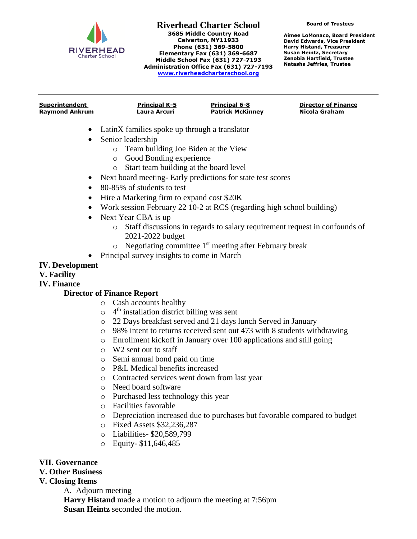

**Riverhead Charter School 3685 Middle Country Road Calverton, NY11933 Phone (631) 369-5800 Elementary Fax (631) 369-6687 Middle School Fax (631) 727-7193 Administration Office Fax (631) 727-7193 [www.riverheadcharterschool.org](http://www.riverheadcharterschool.org/)**

**Board of Trustees**

**Aimee LoMonaco, Board President David Edwards, Vice President Harry Histand, Treasurer Susan Heintz, Secretary Zenobia Hartfield, Trustee Natasha Jeffries, Trustee**

| Superintendent        | <b>Principal K-5</b> | <b>Principal 6-8</b>    | <b>Director of Finance</b> |
|-----------------------|----------------------|-------------------------|----------------------------|
| <b>Raymond Ankrum</b> | Laura Arcuri         | <b>Patrick McKinney</b> | Nicola Graham              |

- LatinX families spoke up through a translator
- Senior leadership
	- o Team building Joe Biden at the View
	- o Good Bonding experience
	- o Start team building at the board level
- Next board meeting- Early predictions for state test scores
- 80-85% of students to test
- Hire a Marketing firm to expand cost \$20K
- Work session February 22 10-2 at RCS (regarding high school building)
- Next Year CBA is up
	- o Staff discussions in regards to salary requirement request in confounds of 2021-2022 budget
	- $\circ$  Negotiating committee 1<sup>st</sup> meeting after February break
- Principal survey insights to come in March

### **IV. Development**

**V. Facility**

**IV. Finance**

### **Director of Finance Report**

- o Cash accounts healthy
- o 4<sup>th</sup> installation district billing was sent
- o 22 Days breakfast served and 21 days lunch Served in January
- o 98% intent to returns received sent out 473 with 8 students withdrawing
- o Enrollment kickoff in January over 100 applications and still going
- o W2 sent out to staff
- o Semi annual bond paid on time
- o P&L Medical benefits increased
- o Contracted services went down from last year
- o Need board software
- o Purchased less technology this year
- o Facilities favorable
- o Depreciation increased due to purchases but favorable compared to budget
- o Fixed Assets \$32,236,287
- o Liabilities- \$20,589,799
- o Equity- \$11,646,485

### **VII. Governance**

## **V. Other Business**

### **V. Closing Items**

A. Adjourn meeting **Harry Histand** made a motion to adjourn the meeting at 7:56pm **Susan Heintz** seconded the motion.